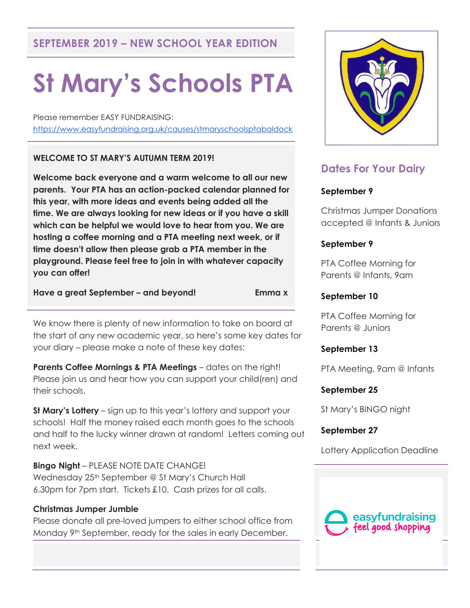## **SEPTEMBER 2019 – NEW SCHOOL YEAR EDITION**

# **St Mary's Schools PTA**

Please remember EASY FUNDRAISING: <https://www.easyfundraising.org.uk/causes/stmaryschoolsptabaldock>

## **WELCOME TO ST MARY'S AUTUMN TERM 2019!**

**Welcome back everyone and a warm welcome to all our new parents. Your PTA has an action-packed calendar planned for this year, with more ideas and events being added all the time. We are always looking for new ideas or if you have a skill which can be helpful we would love to hear from you. We are hosting a coffee morning and a PTA meeting next week, or if time doesn't allow then please grab a PTA member in the playground. Please feel free to join in with whatever capacity you can offer!**

**Have a great September – and beyond! Emma x**

We know there is plenty of new information to take on board at the start of any new academic year, so here's some key dates for your diary – please make a note of these key dates:

**Parents Coffee Mornings & PTA Meetings** – dates on the right! Please join us and hear how you can support your child(ren) and their schools.

**St Mary's Lottery** – sign up to this year's lottery and support your schools! Half the money raised each month goes to the schools and half to the lucky winner drawn at random! Letters coming out next week.

**Bingo Night** – PLEASE NOTE DATE CHANGE! Wednesday 25<sup>th</sup> September @ St Mary's Church Hall 6.30pm for 7pm start. Tickets £10. Cash prizes for all calls.

## **Christmas Jumper Jumble**

Please donate all pre-loved jumpers to either school office from Monday 9th September, ready for the sales in early December.



# **Dates For Your Dairy**

## **September 9**

Christmas Jumper Donations accepted @ Infants & Juniors

## **September 9**

PTA Coffee Morning for Parents @ Infants, 9am

## **September 10**

PTA Coffee Morning for Parents @ Juniors

## **September 13**

PTA Meeting, 9am @ Infants

## **September 25**

St Mary's BINGO night

## **September 27**

Lottery Application Deadline